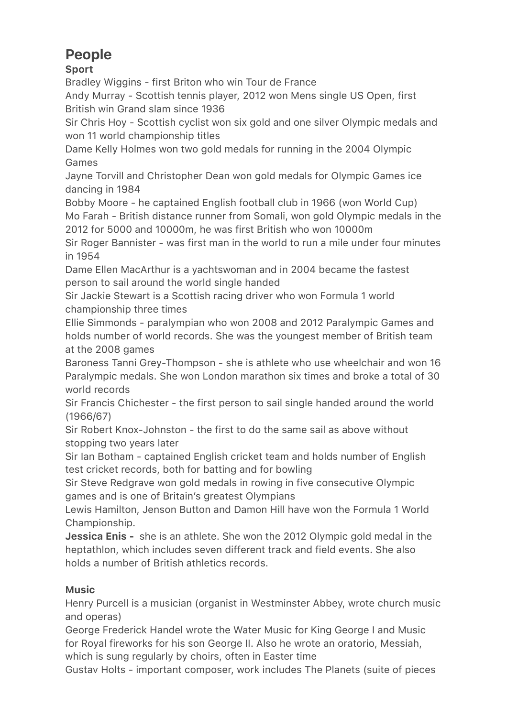# People

## Sport

Bradley Wiggins - first Briton who win Tour de France

Andy Murray - Scottish tennis player, 2012 won Mens single US Open, first British win Grand slam since 1936

Sir Chris Hoy - Scottish cyclist won six gold and one silver Olympic medals and won 11 world championship titles

Dame Kelly Holmes won two gold medals for running in the 2004 Olympic Games

Jayne Torvill and Christopher Dean won gold medals for Olympic Games ice dancing in 1984

Bobby Moore - he captained English football club in 1966 (won World Cup) Mo Farah - British distance runner from Somali, won gold Olympic medals in the 2012 for 5000 and 10000m, he was first British who won 10000m

Sir Roger Bannister - was first man in the world to run a mile under four minutes in 1954

Dame Ellen MacArthur is a yachtswoman and in 2004 became the fastest person to sail around the world single handed

Sir Jackie Stewart is a Scottish racing driver who won Formula 1 world championship three times

Ellie Simmonds - paralympian who won 2008 and 2012 Paralympic Games and holds number of world records. She was the youngest member of British team at the 2008 games

Baroness Tanni Grey-Thompson - she is athlete who use wheelchair and won 16 Paralympic medals. She won London marathon six times and broke a total of 30 world records

Sir Francis Chichester - the first person to sail single handed around the world (1966/67)

Sir Robert Knox-Johnston - the first to do the same sail as above without stopping two years later

Sir Ian Botham - captained English cricket team and holds number of English test cricket records, both for batting and for bowling

Sir Steve Redgrave won gold medals in rowing in five consecutive Olympic games and is one of Britain's greatest Olympians

Lewis Hamilton, Jenson Button and Damon Hill have won the Formula 1 World Championship.

**Jessica Enis -** she is an athlete. She won the 2012 Olympic gold medal in the heptathlon, which includes seven different track and field events. She also holds a number of British athletics records.

## Music

Henry Purcell is a musician (organist in Westminster Abbey, wrote church music and operas)

George Frederick Handel wrote the Water Music for King George I and Music for Royal fireworks for his son George II. Also he wrote an oratorio, Messiah, which is sung regularly by choirs, often in Easter time

Gustav Holts - important composer, work includes The Planets (suite of pieces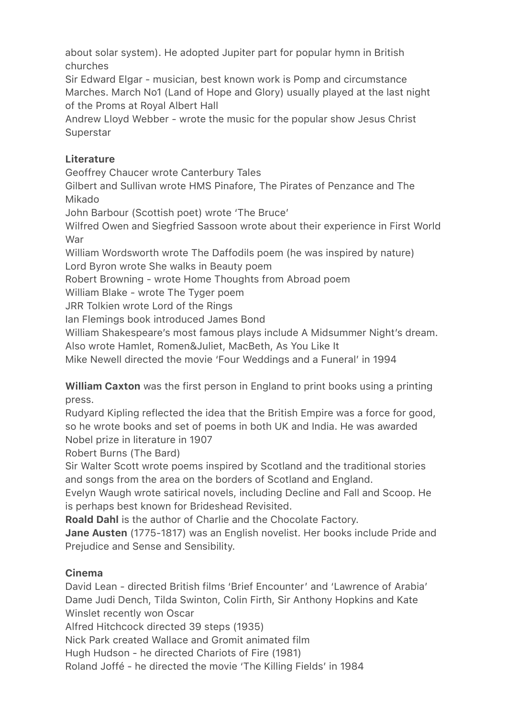about solar system). He adopted Jupiter part for popular hymn in British churches

Sir Edward Elgar - musician, best known work is Pomp and circumstance Marches. March No1 (Land of Hope and Glory) usually played at the last night of the Proms at Royal Albert Hall

Andrew Lloyd Webber - wrote the music for the popular show Jesus Christ **Superstar** 

## **Literature**

Geoffrey Chaucer wrote Canterbury Tales

Gilbert and Sullivan wrote HMS Pinafore, The Pirates of Penzance and The Mikado

John Barbour (Scottish poet) wrote 'The Bruce'

Wilfred Owen and Siegfried Sassoon wrote about their experience in First World War

William Wordsworth wrote The Daffodils poem (he was inspired by nature) Lord Byron wrote She walks in Beauty poem

Robert Browning - wrote Home Thoughts from Abroad poem

William Blake - wrote The Tyger poem

JRR Tolkien wrote Lord of the Rings

Ian Flemings book introduced James Bond

William Shakespeare's most famous plays include A Midsummer Night's dream.

Also wrote Hamlet, Romen&Juliet, MacBeth, As You Like It

Mike Newell directed the movie 'Four Weddings and a Funeral' in 1994

William Caxton was the first person in England to print books using a printing press.

Rudyard Kipling reflected the idea that the British Empire was a force for good, so he wrote books and set of poems in both UK and India. He was awarded Nobel prize in literature in 1907

Robert Burns (The Bard)

Sir Walter Scott wrote poems inspired by Scotland and the traditional stories and songs from the area on the borders of Scotland and England.

Evelyn Waugh wrote satirical novels, including Decline and Fall and Scoop. He is perhaps best known for Brideshead Revisited.

Roald Dahl is the author of Charlie and the Chocolate Factory.

Jane Austen (1775-1817) was an English novelist. Her books include Pride and Prejudice and Sense and Sensibility.

### Cinema

David Lean - directed British films 'Brief Encounter' and 'Lawrence of Arabia' Dame Judi Dench, Tilda Swinton, Colin Firth, Sir Anthony Hopkins and Kate Winslet recently won Oscar

Alfred Hitchcock directed 39 steps (1935)

Nick Park created Wallace and Gromit animated film

Hugh Hudson - he directed Chariots of Fire (1981)

Roland Joffé - he directed the movie 'The Killing Fields' in 1984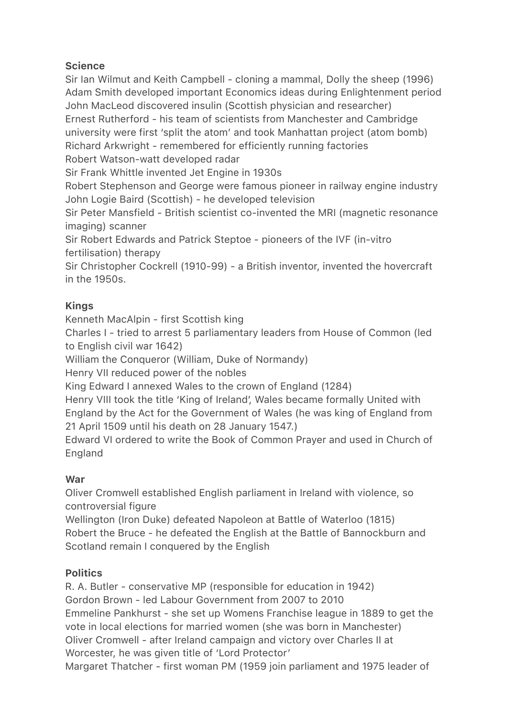### **Science**

Sir Ian Wilmut and Keith Campbell - cloning a mammal, Dolly the sheep (1996) Adam Smith developed important Economics ideas during Enlightenment period John MacLeod discovered insulin (Scottish physician and researcher) Ernest Rutherford - his team of scientists from Manchester and Cambridge university were first 'split the atom' and took Manhattan project (atom bomb) Richard Arkwright - remembered for efficiently running factories Robert Watson-watt developed radar

Sir Frank Whittle invented Jet Engine in 1930s

Robert Stephenson and George were famous pioneer in railway engine industry John Logie Baird (Scottish) - he developed television

Sir Peter Mansfield - British scientist co-invented the MRI (magnetic resonance imaging) scanner

Sir Robert Edwards and Patrick Steptoe - pioneers of the IVF (in-vitro fertilisation) therapy

Sir Christopher Cockrell (1910-99) - a British inventor, invented the hovercraft in the 1950s.

### Kings

Kenneth MacAlpin - first Scottish king

Charles I - tried to arrest 5 parliamentary leaders from House of Common (led to English civil war 1642)

William the Conqueror (William, Duke of Normandy)

Henry VII reduced power of the nobles

King Edward I annexed Wales to the crown of England (1284)

Henry VIII took the title 'King of Ireland', Wales became formally United with England by the Act for the Government of Wales (he was king of England from 21 April 1509 until his death on 28 January 1547.)

Edward VI ordered to write the Book of Common Prayer and used in Church of England

## War

Oliver Cromwell established English parliament in Ireland with violence, so controversial figure

Wellington (Iron Duke) defeated Napoleon at Battle of Waterloo (1815) Robert the Bruce - he defeated the English at the Battle of Bannockburn and Scotland remain I conquered by the English

### **Politics**

R. A. Butler - conservative MP (responsible for education in 1942) Gordon Brown - led Labour Government from 2007 to 2010 Emmeline Pankhurst - she set up Womens Franchise league in 1889 to get the vote in local elections for married women (she was born in Manchester) Oliver Cromwell - after Ireland campaign and victory over Charles II at Worcester, he was given title of 'Lord Protector'

Margaret Thatcher - first woman PM (1959 join parliament and 1975 leader of